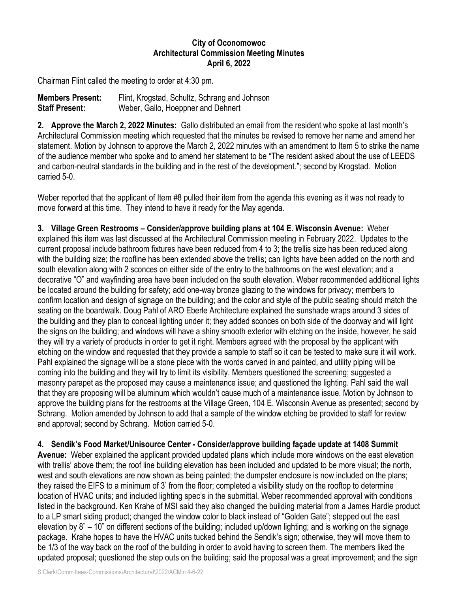## **City of Oconomowoc Architectural Commission Meeting Minutes April 6, 2022**

Chairman Flint called the meeting to order at 4:30 pm.

| <b>Members Present:</b> | Flint, Krogstad, Schultz, Schrang and Johnson |
|-------------------------|-----------------------------------------------|
| <b>Staff Present:</b>   | Weber, Gallo, Hoeppner and Dehnert            |

**2. Approve the March 2, 2022 Minutes:** Gallo distributed an email from the resident who spoke at last month's Architectural Commission meeting which requested that the minutes be revised to remove her name and amend her statement. Motion by Johnson to approve the March 2, 2022 minutes with an amendment to Item 5 to strike the name of the audience member who spoke and to amend her statement to be "The resident asked about the use of LEEDS and carbon-neutral standards in the building and in the rest of the development."; second by Krogstad. Motion carried 5-0.

Weber reported that the applicant of Item #8 pulled their item from the agenda this evening as it was not ready to move forward at this time. They intend to have it ready for the May agenda.

**3. Village Green Restrooms – Consider/approve building plans at 104 E. Wisconsin Avenue:** Weber explained this item was last discussed at the Architectural Commission meeting in February 2022. Updates to the current proposal include bathroom fixtures have been reduced from 4 to 3; the trellis size has been reduced along with the building size; the roofline has been extended above the trellis; can lights have been added on the north and south elevation along with 2 sconces on either side of the entry to the bathrooms on the west elevation; and a decorative "O" and wayfinding area have been included on the south elevation. Weber recommended additional lights be located around the building for safety; add one-way bronze glazing to the windows for privacy; members to confirm location and design of signage on the building; and the color and style of the public seating should match the seating on the boardwalk. Doug Pahl of ARO Eberle Architecture explained the sunshade wraps around 3 sides of the building and they plan to conceal lighting under it; they added sconces on both side of the doorway and will light the signs on the building; and windows will have a shiny smooth exterior with etching on the inside, however, he said they will try a variety of products in order to get it right. Members agreed with the proposal by the applicant with etching on the window and requested that they provide a sample to staff so it can be tested to make sure it will work. Pahl explained the signage will be a stone piece with the words carved in and painted, and utility piping will be coming into the building and they will try to limit its visibility. Members questioned the screening; suggested a masonry parapet as the proposed may cause a maintenance issue; and questioned the lighting. Pahl said the wall that they are proposing will be aluminum which wouldn't cause much of a maintenance issue. Motion by Johnson to approve the building plans for the restrooms at the Village Green, 104 E. Wisconsin Avenue as presented; second by Schrang. Motion amended by Johnson to add that a sample of the window etching be provided to staff for review and approval; second by Schrang. Motion carried 5-0.

**4. Sendik's Food Market/Unisource Center - Consider/approve building façade update at 1408 Summit**

**Avenue:** Weber explained the applicant provided updated plans which include more windows on the east elevation with trellis' above them; the roof line building elevation has been included and updated to be more visual; the north, west and south elevations are now shown as being painted; the dumpster enclosure is now included on the plans; they raised the EIFS to a minimum of 3' from the floor; completed a visibility study on the rooftop to determine location of HVAC units; and included lighting spec's in the submittal. Weber recommended approval with conditions listed in the background. Ken Krahe of MSI said they also changed the building material from a James Hardie product to a LP smart siding product; changed the window color to black instead of "Golden Gate"; stepped out the east elevation by 8" – 10" on different sections of the building; included up/down lighting; and is working on the signage package. Krahe hopes to have the HVAC units tucked behind the Sendik's sign; otherwise, they will move them to be 1/3 of the way back on the roof of the building in order to avoid having to screen them. The members liked the updated proposal; questioned the step outs on the building; said the proposal was a great improvement; and the sign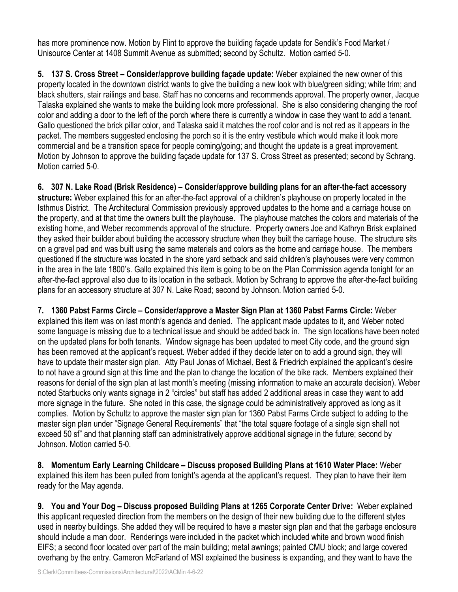has more prominence now. Motion by Flint to approve the building façade update for Sendik's Food Market / Unisource Center at 1408 Summit Avenue as submitted; second by Schultz. Motion carried 5-0.

**5. 137 S. Cross Street – Consider/approve building façade update:** Weber explained the new owner of this property located in the downtown district wants to give the building a new look with blue/green siding; white trim; and black shutters, stair railings and base. Staff has no concerns and recommends approval. The property owner, Jacque Talaska explained she wants to make the building look more professional. She is also considering changing the roof color and adding a door to the left of the porch where there is currently a window in case they want to add a tenant. Gallo questioned the brick pillar color, and Talaska said it matches the roof color and is not red as it appears in the packet. The members suggested enclosing the porch so it is the entry vestibule which would make it look more commercial and be a transition space for people coming/going; and thought the update is a great improvement. Motion by Johnson to approve the building façade update for 137 S. Cross Street as presented; second by Schrang. Motion carried 5-0.

**6. 307 N. Lake Road (Brisk Residence) – Consider/approve building plans for an after-the-fact accessory structure:** Weber explained this for an after-the-fact approval of a children's playhouse on property located in the Isthmus District. The Architectural Commission previously approved updates to the home and a carriage house on the property, and at that time the owners built the playhouse. The playhouse matches the colors and materials of the existing home, and Weber recommends approval of the structure. Property owners Joe and Kathryn Brisk explained they asked their builder about building the accessory structure when they built the carriage house. The structure sits on a gravel pad and was built using the same materials and colors as the home and carriage house. The members questioned if the structure was located in the shore yard setback and said children's playhouses were very common in the area in the late 1800's. Gallo explained this item is going to be on the Plan Commission agenda tonight for an after-the-fact approval also due to its location in the setback. Motion by Schrang to approve the after-the-fact building plans for an accessory structure at 307 N. Lake Road; second by Johnson. Motion carried 5-0.

**7. 1360 Pabst Farms Circle – Consider/approve a Master Sign Plan at 1360 Pabst Farms Circle:** Weber explained this item was on last month's agenda and denied. The applicant made updates to it, and Weber noted some language is missing due to a technical issue and should be added back in. The sign locations have been noted on the updated plans for both tenants. Window signage has been updated to meet City code, and the ground sign has been removed at the applicant's request. Weber added if they decide later on to add a ground sign, they will have to update their master sign plan. Atty Paul Jonas of Michael, Best & Friedrich explained the applicant's desire to not have a ground sign at this time and the plan to change the location of the bike rack. Members explained their reasons for denial of the sign plan at last month's meeting (missing information to make an accurate decision). Weber noted Starbucks only wants signage in 2 "circles" but staff has added 2 additional areas in case they want to add more signage in the future. She noted in this case, the signage could be administratively approved as long as it complies. Motion by Schultz to approve the master sign plan for 1360 Pabst Farms Circle subject to adding to the master sign plan under "Signage General Requirements" that "the total square footage of a single sign shall not exceed 50 sf" and that planning staff can administratively approve additional signage in the future; second by Johnson. Motion carried 5-0.

**8. Momentum Early Learning Childcare – Discuss proposed Building Plans at 1610 Water Place:** Weber explained this item has been pulled from tonight's agenda at the applicant's request. They plan to have their item ready for the May agenda.

**9. You and Your Dog – Discuss proposed Building Plans at 1265 Corporate Center Drive:** Weber explained this applicant requested direction from the members on the design of their new building due to the different styles used in nearby buildings. She added they will be required to have a master sign plan and that the garbage enclosure should include a man door. Renderings were included in the packet which included white and brown wood finish EIFS; a second floor located over part of the main building; metal awnings; painted CMU block; and large covered overhang by the entry. Cameron McFarland of MSI explained the business is expanding, and they want to have the